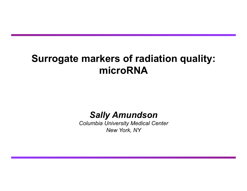### **Surrogate markers of radiation quality: microRNA**

*Sally Amundson* 

*Columbia University Medical Center New York, NY*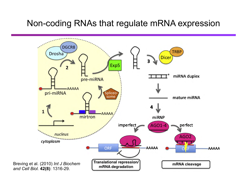#### Non-coding RNAs that regulate mRNA expression

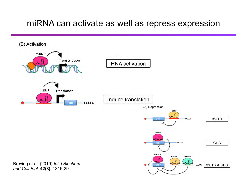#### miRNA can activate as well as repress expression

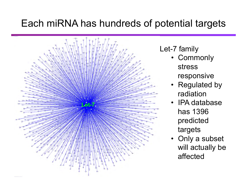### Each miRNA has hundreds of potential targets



Let-7 family

- Commonly stress responsive
- Regulated by radiation
- IPA database has 1396 predicted targets
- Only a subset will actually be affected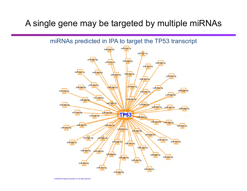#### A single gene may be targeted by multiple miRNAs



2000-2013 Ingenuity Systems, Inc. All rights reserved.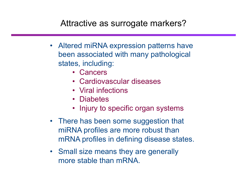### Attractive as surrogate markers?

- Altered miRNA expression patterns have been associated with many pathological states, including:
	- Cancers
	- Cardiovascular diseases
	- Viral infections
	- Diabetes
	- Injury to specific organ systems
- There has been some suggestion that miRNA profiles are more robust than mRNA profiles in defining disease states.
- Small size means they are generally more stable than mRNA.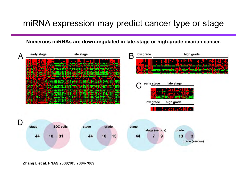#### miRNA expression may predict cancer type or stage

**Numerous miRNAs are down-regulated in late-stage or high-grade ovarian cancer.** 



**Zhang L et al. PNAS 2008;105:7004-7009**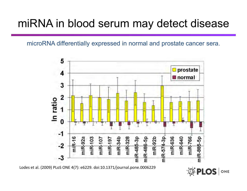# miRNA in blood serum may detect disease

microRNA differentially expressed in normal and prostate cancer sera.



Lodes et al. (2009) PLoS ONE 4(7): e6229. doi:10.1371/journal.pone.0006229

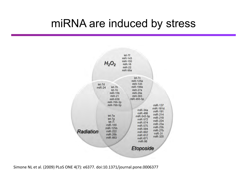# miRNA are induced by stress



Simone NL et al. (2009) PLoS ONE 4(7): e6377. doi:10.1371/journal.pone.0006377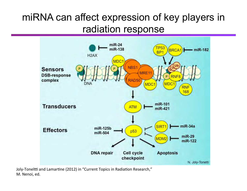# miRNA can affect expression of key players in radiation response



Joly-Toneltti and Lamartine (2012) in "Current Topics in Radiation Research," M. Nenoi, ed.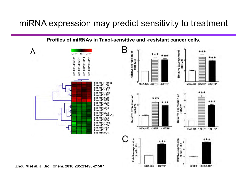#### miRNA expression may predict sensitivity to treatment

**Profiles of miRNAs in Taxol-sensitive and -resistant cancer cells.** 





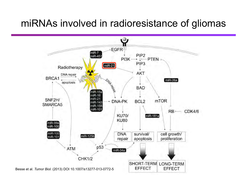### miRNAs involved in radioresistance of gliomas

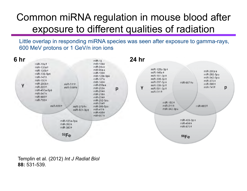# Common miRNA regulation in mouse blood after exposure to different qualities of radiation

Little overlap in responding miRNA species was seen after exposure to gamma-rays, 600 MeV protons or 1 GeV/n iron ions



Templin et al. (2012) *Int J Radiat Biol* **88:** 531-539.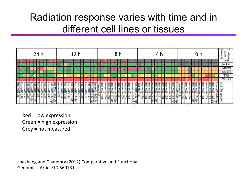## Radiation response varies with time and in different cell lines or tissues

| 24 h                                                                                                                                                                                                                                                   |                                                                                                                              |                                                                                                                                                                 |                                                                                                    |                                                                                                                                  | <b>Hour</b><br>f<br>E<br>m<br>D۴ |
|--------------------------------------------------------------------------------------------------------------------------------------------------------------------------------------------------------------------------------------------------------|------------------------------------------------------------------------------------------------------------------------------|-----------------------------------------------------------------------------------------------------------------------------------------------------------------|----------------------------------------------------------------------------------------------------|----------------------------------------------------------------------------------------------------------------------------------|----------------------------------|
|                                                                                                                                                                                                                                                        |                                                                                                                              |                                                                                                                                                                 |                                                                                                    |                                                                                                                                  | 1M9<br>Jurkat<br>M059<br>M059K   |
| <b>BSD</b><br>hsa<br>hsa<br><b>Fsa</b><br>討<br><b>R</b><br>ğ<br>图<br><b>R</b><br>圖图                                                                                                                                                                    | $rac{1}{1254}$<br>hsa-<br>hsa-<br>hsa<br>hsa-<br><b>E</b><br>S.<br>膚<br>B<br>$\frac{1}{16}$                                  | हे<br><b>Fish</b><br>hsa<br>冒頭<br><b>Fist</b><br>æ.                                                                                                             | Esp<br><b>Taking Brand</b><br>$\mathbb{E}$<br>$\mathbb{R}$<br>$\overline{180}$                     | 457<br>$\overline{\mathbf{z}}$<br>信<br>序<br>信置<br>$\mathbb{E}$<br>贾<br>æ.<br>Ιš<br>喬                                             | TK6<br><b>WTKI</b><br>E<br>ē     |
| <b>SHIP</b><br><b>First</b><br>File.<br>Fulk<br>žщ<br>anik<br>K<br>ŅШ.<br>ling<br>Sid<br>릦<br>뤚<br>E<br>$\overline{\mathbf{z}}$<br>$\overline{5}$<br>196<br><b>Service</b><br>−<br>143<br>I&a<br>-<br>Ĩę,<br><b>i</b><br>危<br>s.<br>$\mathcal{L}$<br>e | 鷳<br>WHK<br>惧<br>ŘШ.<br>里<br>릦<br>ЩK<br>ЩK,<br>鳳<br>뒥<br>19b<br>Ñ<br>18a<br>₹<br>ç,<br>ł<br>is.<br>5<br>$\overline{ab}$<br>ā | 鷆<br><b>Plan</b><br>ŘЩ<br>围<br>ăт<br>里<br>щg<br>Да<br>ŅШ.<br>Ē,<br>륑<br>5Ī<br>143<br>19a<br>图.<br>Σđ<br>$\overline{9}$<br><b>There</b><br>2<br>ज<br>市<br>뇑<br>w | a na na<br>ŅШ<br>理<br>鼺<br>팇<br>ā<br>27<br>19.<br>$\frac{16}{17.5}$<br>15<br>1452<br>$\frac{1}{2}$ | muR <sub>R</sub><br>ğщ<br>щR<br>鳯<br>ÄШ<br>Filk<br>팈<br>팆<br>导<br><u>195</u><br><b>12a</b><br>बङ्ग<br>÷<br>١U<br>芯<br>لتقيد<br>봄 | t me<br>₩                        |

 $Red = low$  expression Green =  $high$ expression Grey = not measured

Lhakhang and Chaudhry (2012) Comparative and Functional Genomics, Article ID 569731.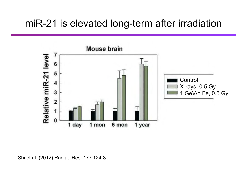### miR-21 is elevated long-term after irradiation



Shi et al. (2012) Radiat. Res. 177:124-8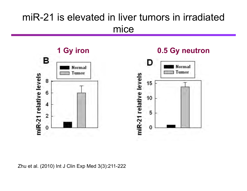## miR-21 is elevated in liver tumors in irradiated mice

**1 Gy iron 0.5 Gy neutron**в **Normal** Tumor miR-21 relative levels 8 6 4  $\overline{2}$ 0



Zhu et al. (2010) Int J Clin Exp Med 3(3):211-222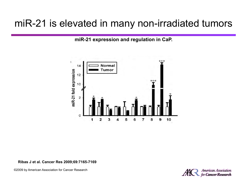### miR-21 is elevated in many non-irradiated tumors

**miR-21 expression and regulation in CaP.** 



#### **Ribas J et al. Cancer Res 2009;69:7165-7169**

©2009 by American Association for Cancer Research